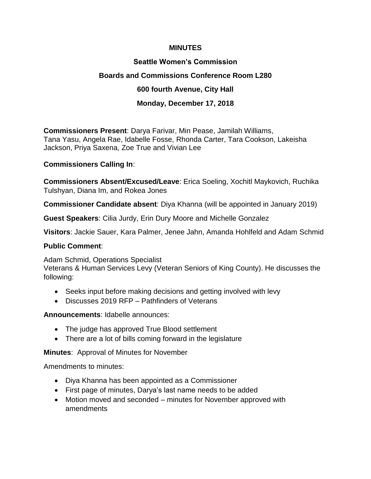#### **MINUTES**

# **Seattle Women's Commission Boards and Commissions Conference Room L280 600 fourth Avenue, City Hall Monday, December 17, 2018**

**Commissioners Present**: Darya Farivar, Min Pease, Jamilah Williams, Tana Yasu, Angela Rae, Idabelle Fosse, Rhonda Carter, Tara Cookson, Lakeisha Jackson, Priya Saxena, Zoe True and Vivian Lee

#### **Commissioners Calling In**:

**Commissioners Absent/Excused/Leave**: Erica Soeling, Xochitl Maykovich, Ruchika Tulshyan, Diana Im, and Rokea Jones

**Commissioner Candidate absent**: Diya Khanna (will be appointed in January 2019)

**Guest Speakers**: Cilia Jurdy, Erin Dury Moore and Michelle Gonzalez

**Visitors**: Jackie Sauer, Kara Palmer, Jenee Jahn, Amanda Hohlfeld and Adam Schmid

#### **Public Comment**:

Adam Schmid, Operations Specialist

Veterans & Human Services Levy (Veteran Seniors of King County). He discusses the following:

- Seeks input before making decisions and getting involved with levy
- Discusses 2019 RFP Pathfinders of Veterans

**Announcements**: Idabelle announces:

- The judge has approved True Blood settlement
- There are a lot of bills coming forward in the legislature

**Minutes**: Approval of Minutes for November

Amendments to minutes:

- Diya Khanna has been appointed as a Commissioner
- First page of minutes, Darya's last name needs to be added
- Motion moved and seconded minutes for November approved with amendments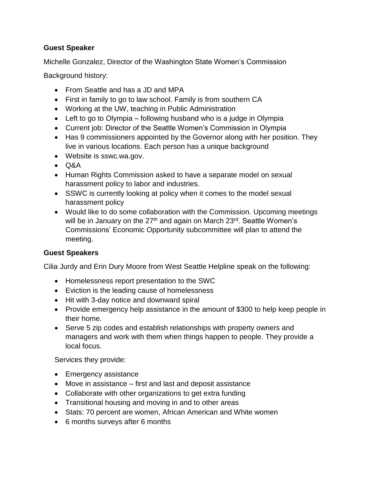## **Guest Speaker**

Michelle Gonzalez, Director of the Washington State Women's Commission

Background history:

- From Seattle and has a JD and MPA
- First in family to go to law school. Family is from southern CA
- Working at the UW, teaching in Public Administration
- Left to go to Olympia following husband who is a judge in Olympia
- Current job: Director of the Seattle Women's Commission in Olympia
- Has 9 commissioners appointed by the Governor along with her position. They live in various locations. Each person has a unique background
- Website is sswc.wa.gov.
- Q&A
- Human Rights Commission asked to have a separate model on sexual harassment policy to labor and industries.
- SSWC is currently looking at policy when it comes to the model sexual harassment policy
- Would like to do some collaboration with the Commission. Upcoming meetings will be in January on the 27<sup>th</sup> and again on March 23<sup>rd</sup>. Seattle Women's Commissions' Economic Opportunity subcommittee will plan to attend the meeting.

## **Guest Speakers**

Cilia Jurdy and Erin Dury Moore from West Seattle Helpline speak on the following:

- Homelessness report presentation to the SWC
- Eviction is the leading cause of homelessness
- Hit with 3-day notice and downward spiral
- Provide emergency help assistance in the amount of \$300 to help keep people in their home.
- Serve 5 zip codes and establish relationships with property owners and managers and work with them when things happen to people. They provide a local focus.

Services they provide:

- Emergency assistance
- Move in assistance first and last and deposit assistance
- Collaborate with other organizations to get extra funding
- Transitional housing and moving in and to other areas
- Stats: 70 percent are women, African American and White women
- 6 months surveys after 6 months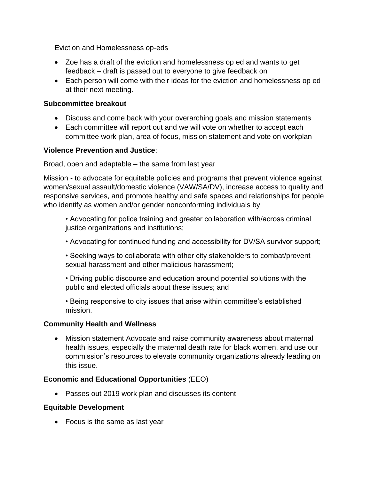Eviction and Homelessness op-eds

- Zoe has a draft of the eviction and homelessness op ed and wants to get feedback – draft is passed out to everyone to give feedback on
- Each person will come with their ideas for the eviction and homelessness op ed at their next meeting.

#### **Subcommittee breakout**

- Discuss and come back with your overarching goals and mission statements
- Each committee will report out and we will vote on whether to accept each committee work plan, area of focus, mission statement and vote on workplan

#### **Violence Prevention and Justice**:

Broad, open and adaptable – the same from last year

Mission - to advocate for equitable policies and programs that prevent violence against women/sexual assault/domestic violence (VAW/SA/DV), increase access to quality and responsive services, and promote healthy and safe spaces and relationships for people who identify as women and/or gender nonconforming individuals by

• Advocating for police training and greater collaboration with/across criminal justice organizations and institutions;

• Advocating for continued funding and accessibility for DV/SA survivor support;

• Seeking ways to collaborate with other city stakeholders to combat/prevent sexual harassment and other malicious harassment;

• Driving public discourse and education around potential solutions with the public and elected officials about these issues; and

• Being responsive to city issues that arise within committee's established mission.

## **Community Health and Wellness**

• Mission statement Advocate and raise community awareness about maternal health issues, especially the maternal death rate for black women, and use our commission's resources to elevate community organizations already leading on this issue.

## **Economic and Educational Opportunities** (EEO)

• Passes out 2019 work plan and discusses its content

#### **Equitable Development**

• Focus is the same as last year